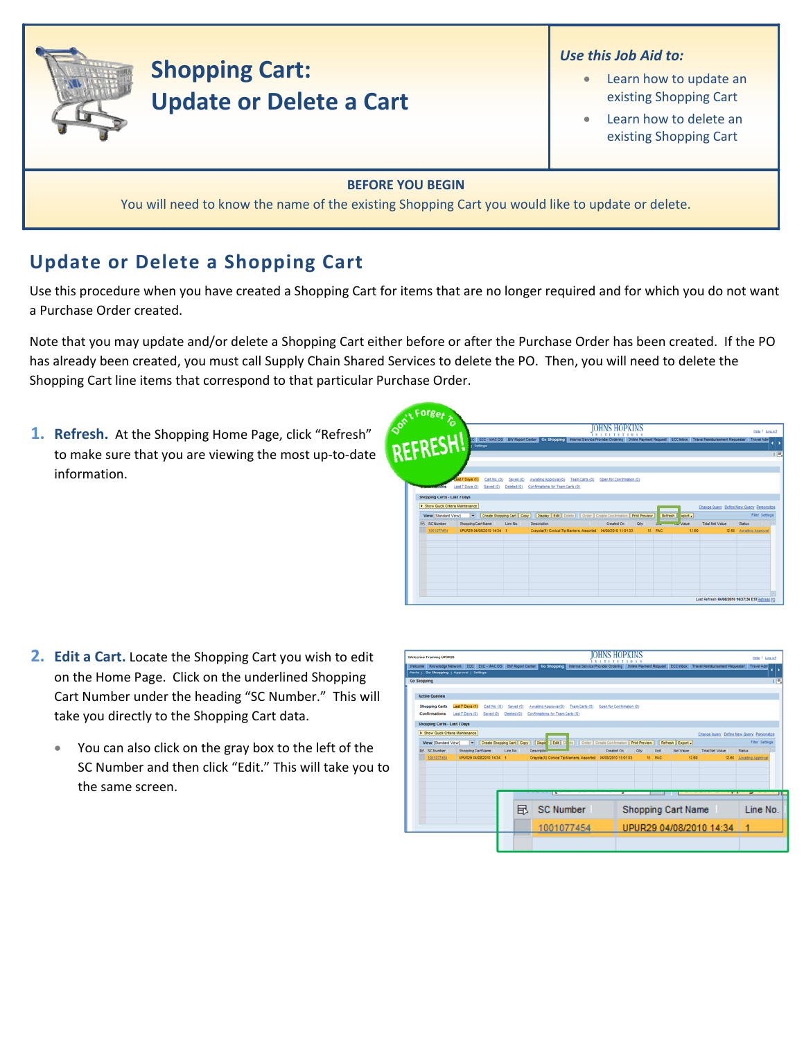

## **Shopping Cart: Update or Delete a Cart**

## *Use this Job Aid to:*

- Learn how to update an existing Shopping Cart
- Learn how to delete an existing Shopping Cart

## **BEFORE YOU BEGIN**

You will need to know the name of the existing Shopping Cart you would like to update or delete.

## **Update or Delete a Shopping Cart**

Use this procedure when you have created a Shopping Cart for items that are no longer required and for which you do not want a Purchase Order created.

Note that you may update and/or delete a Shopping Cart either before or after the Purchase Order has been created. If the PO has already been created, you must call Supply Chain Shared Services to delete the PO. Then, you will need to delete the Shopping Cart line items that correspond to that particular Purchase Order.

**1. Refresh.** At the Shopping Home Page, click "Refresh" to make sure that you are viewing the most up‐to‐date information.

|                                   |                                |                                              |                                     | IOHNS HOPKINS<br><i><b>INSTITUTION</b></i>                                                                                                               |            |                       |                                           | Help   Los.off         |
|-----------------------------------|--------------------------------|----------------------------------------------|-------------------------------------|----------------------------------------------------------------------------------------------------------------------------------------------------------|------------|-----------------------|-------------------------------------------|------------------------|
|                                   | Settings                       |                                              |                                     | C ECC - MACOS BW Report Center Go Shopping Witernal Service Provider Ordering Online Payment Request ECC Inbox Travel Reinbursement Requester Travel Adm |            |                       |                                           |                        |
| REFRESH!                          |                                |                                              |                                     |                                                                                                                                                          |            |                       |                                           |                        |
|                                   |                                |                                              |                                     |                                                                                                                                                          |            |                       |                                           |                        |
|                                   | Cart No. (0)<br>ast 7 Days (1) | Saved (9)                                    | Awaling Approval (0) Team Carts (0) | Open for Confirmation (0)                                                                                                                                |            |                       |                                           |                        |
|                                   | Last 7 Days (0)<br>Seved (9)   | Deleted (0) Confirmations for Team Carts (0) |                                     |                                                                                                                                                          |            |                       |                                           |                        |
| Shopping Carts - Last 7 Days      |                                |                                              |                                     |                                                                                                                                                          |            |                       |                                           |                        |
| > Show Quick Criteria Maintenance |                                |                                              |                                     |                                                                                                                                                          |            |                       | Change Query Define New Query Personalize |                        |
| View [Standard View]              |                                |                                              |                                     | Create Shopping Cart Copy   Display Edit   Delete   Order   Create Confirmation   Print Preview                                                          |            | Refresh   <br>sport a |                                           | <b>Fiter Settings</b>  |
| <b>IR. SC Number</b>              | Shopping Cart Name             | Line No.<br>Description                      |                                     | <b>Created On</b>                                                                                                                                        | <b>Chy</b> | Value                 | <b>Total Net Value</b>                    | <b>Status</b>          |
| 1001077454                        | UPUR29 04/08/2010 14:34 1      |                                              |                                     | Crayola(R) Conical Tip Markers, Assorted 04/08/2010 15:01:03                                                                                             | 15 PAC     | 12.60                 |                                           | 12.60 Awaling Approval |
|                                   |                                |                                              |                                     |                                                                                                                                                          |            |                       |                                           |                        |
|                                   |                                |                                              |                                     |                                                                                                                                                          |            |                       |                                           |                        |
|                                   |                                |                                              |                                     |                                                                                                                                                          |            |                       |                                           |                        |
|                                   |                                |                                              |                                     |                                                                                                                                                          |            |                       |                                           |                        |
|                                   |                                |                                              |                                     |                                                                                                                                                          |            |                       |                                           |                        |
|                                   |                                |                                              |                                     |                                                                                                                                                          |            |                       |                                           |                        |
|                                   |                                |                                              |                                     |                                                                                                                                                          |            |                       |                                           |                        |

- **2. Edit a Cart.** Locate the Shopping Cart you wish to edit on the Home Page. Click on the underlined Shopping Cart Number under the heading "SC Number." This will take you directly to the Shopping Cart data.
	- You can also click on the gray box to the left of the SC Number and then click "Edit." This will take you to the same screen.

| Welcome Knowledge Network ECC ECC - MACOS BW Report Center Go Shopping Internal Service Provider Ordering Online Payment Request ECC Inbox Travel Reinbursement Requester Travel Adm<br>Alerts   Go Shopping   Approval   Settings<br>Go Shopping<br><b>Active Queries</b><br>Last 7 Days (1)<br><b>Shopping Carts</b><br>Open for Confirmation (0)<br>Cart No. (0)<br>Awaling Approval (0)<br>Team Carts (0)<br>Saved (0)<br>Confirmations<br>Last 7 Days (0)<br>Saved (0)<br>Deleted (Q)<br>Confirmations for Team Carts (0)<br>Shopping Carts - Last 7 Days<br>> Show Quick Criteria Maintenance<br>Change Query Define New Query Personalize<br>Cisple Edit   De de     Order   Create Confirmation   Print Preview<br>View [Standard View]<br>Create Shopping Cart Copy<br>Refresh Export<br><b>R</b> SC Number<br>Created On<br>Shopping Cart Name<br>Line No.<br>Descriptio<br><b>City</b><br>Unit<br>Net Value<br><b>Total Net Value</b><br>Status<br>1001077454<br>UPUR29 04/08/2010 14:34 1<br>15 PAC<br>Crayola(R) Conical Tip Markers, Assorted 04/08/2010 15:01:03<br>12.60<br>12.60 Awaiting Approval<br><b>Trump</b><br>т<br>SC Number<br>凮<br>Shopping Cart Name | <b>Welcome Training UPUR29</b> |  |  |  |  |  | Help   Log.off        |     |
|----------------------------------------------------------------------------------------------------------------------------------------------------------------------------------------------------------------------------------------------------------------------------------------------------------------------------------------------------------------------------------------------------------------------------------------------------------------------------------------------------------------------------------------------------------------------------------------------------------------------------------------------------------------------------------------------------------------------------------------------------------------------------------------------------------------------------------------------------------------------------------------------------------------------------------------------------------------------------------------------------------------------------------------------------------------------------------------------------------------------------------------------------------------------------------|--------------------------------|--|--|--|--|--|-----------------------|-----|
|                                                                                                                                                                                                                                                                                                                                                                                                                                                                                                                                                                                                                                                                                                                                                                                                                                                                                                                                                                                                                                                                                                                                                                                  |                                |  |  |  |  |  |                       |     |
|                                                                                                                                                                                                                                                                                                                                                                                                                                                                                                                                                                                                                                                                                                                                                                                                                                                                                                                                                                                                                                                                                                                                                                                  |                                |  |  |  |  |  |                       | ı E |
|                                                                                                                                                                                                                                                                                                                                                                                                                                                                                                                                                                                                                                                                                                                                                                                                                                                                                                                                                                                                                                                                                                                                                                                  |                                |  |  |  |  |  |                       |     |
|                                                                                                                                                                                                                                                                                                                                                                                                                                                                                                                                                                                                                                                                                                                                                                                                                                                                                                                                                                                                                                                                                                                                                                                  |                                |  |  |  |  |  |                       |     |
|                                                                                                                                                                                                                                                                                                                                                                                                                                                                                                                                                                                                                                                                                                                                                                                                                                                                                                                                                                                                                                                                                                                                                                                  |                                |  |  |  |  |  |                       |     |
|                                                                                                                                                                                                                                                                                                                                                                                                                                                                                                                                                                                                                                                                                                                                                                                                                                                                                                                                                                                                                                                                                                                                                                                  |                                |  |  |  |  |  |                       |     |
|                                                                                                                                                                                                                                                                                                                                                                                                                                                                                                                                                                                                                                                                                                                                                                                                                                                                                                                                                                                                                                                                                                                                                                                  |                                |  |  |  |  |  | <b>Fiber Settings</b> |     |
|                                                                                                                                                                                                                                                                                                                                                                                                                                                                                                                                                                                                                                                                                                                                                                                                                                                                                                                                                                                                                                                                                                                                                                                  |                                |  |  |  |  |  |                       |     |
|                                                                                                                                                                                                                                                                                                                                                                                                                                                                                                                                                                                                                                                                                                                                                                                                                                                                                                                                                                                                                                                                                                                                                                                  |                                |  |  |  |  |  |                       |     |
|                                                                                                                                                                                                                                                                                                                                                                                                                                                                                                                                                                                                                                                                                                                                                                                                                                                                                                                                                                                                                                                                                                                                                                                  |                                |  |  |  |  |  |                       |     |
|                                                                                                                                                                                                                                                                                                                                                                                                                                                                                                                                                                                                                                                                                                                                                                                                                                                                                                                                                                                                                                                                                                                                                                                  |                                |  |  |  |  |  |                       |     |
|                                                                                                                                                                                                                                                                                                                                                                                                                                                                                                                                                                                                                                                                                                                                                                                                                                                                                                                                                                                                                                                                                                                                                                                  |                                |  |  |  |  |  |                       |     |
|                                                                                                                                                                                                                                                                                                                                                                                                                                                                                                                                                                                                                                                                                                                                                                                                                                                                                                                                                                                                                                                                                                                                                                                  |                                |  |  |  |  |  |                       |     |
|                                                                                                                                                                                                                                                                                                                                                                                                                                                                                                                                                                                                                                                                                                                                                                                                                                                                                                                                                                                                                                                                                                                                                                                  |                                |  |  |  |  |  | Line No.              |     |
| UPUR29 04/08/2010 14:34<br>1001077454                                                                                                                                                                                                                                                                                                                                                                                                                                                                                                                                                                                                                                                                                                                                                                                                                                                                                                                                                                                                                                                                                                                                            |                                |  |  |  |  |  |                       |     |
|                                                                                                                                                                                                                                                                                                                                                                                                                                                                                                                                                                                                                                                                                                                                                                                                                                                                                                                                                                                                                                                                                                                                                                                  |                                |  |  |  |  |  |                       |     |